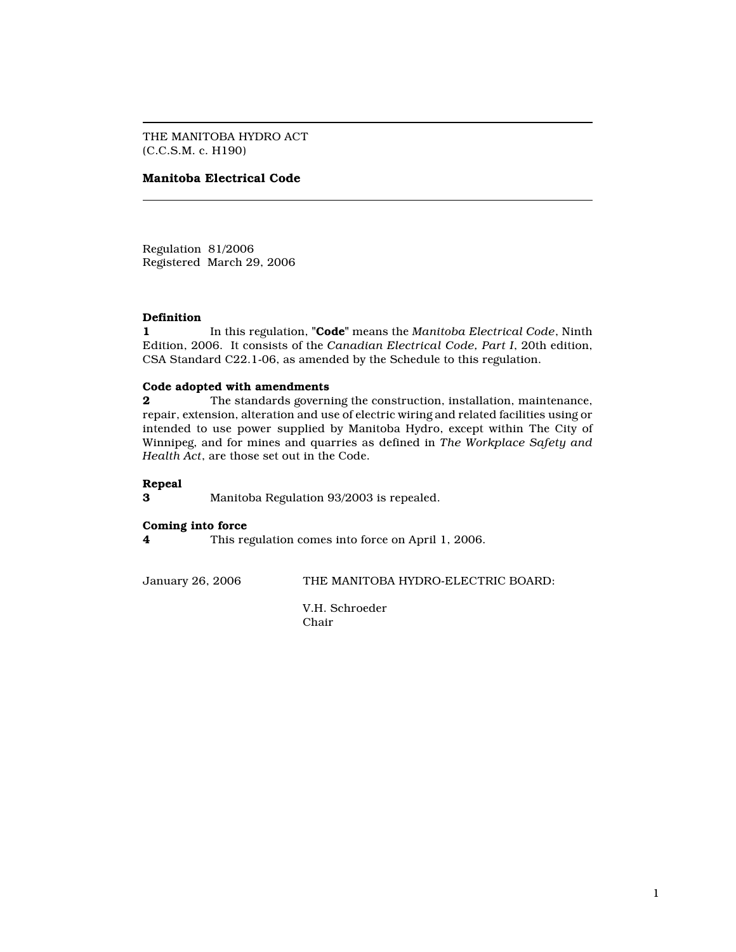THE MANITOBA HYDRO ACT (C.C.S.M. c. H190)

# Manitoba Electrical Code

Regulation 81/2006 Registered March 29, 2006

## Definition

1 In this regulation, "Code" means the Manitoba Electrical Code, Ninth Edition, 2006. It consists of the Canadian Electrical Code, Part I, 20th edition, CSA Standard C22.1-06, as amended by the Schedule to this regulation.

### Code adopted with amendments

**2** The standards governing the construction, installation, maintenance, repair, extension, alteration and use of electric wiring and related facilities using or intended to use power supplied by Manitoba Hydro, except within The City of Winnipeg, and for mines and quarries as defined in The Workplace Safety and Health Act, are those set out in the Code.

## Repeal

3 Manitoba Regulation 93/2003 is repealed.

### Coming into force

4 This regulation comes into force on April 1, 2006.

January 26, 2006 THE MANITOBA HYDRO-ELECTRIC BOARD:

V.H. Schroeder Chair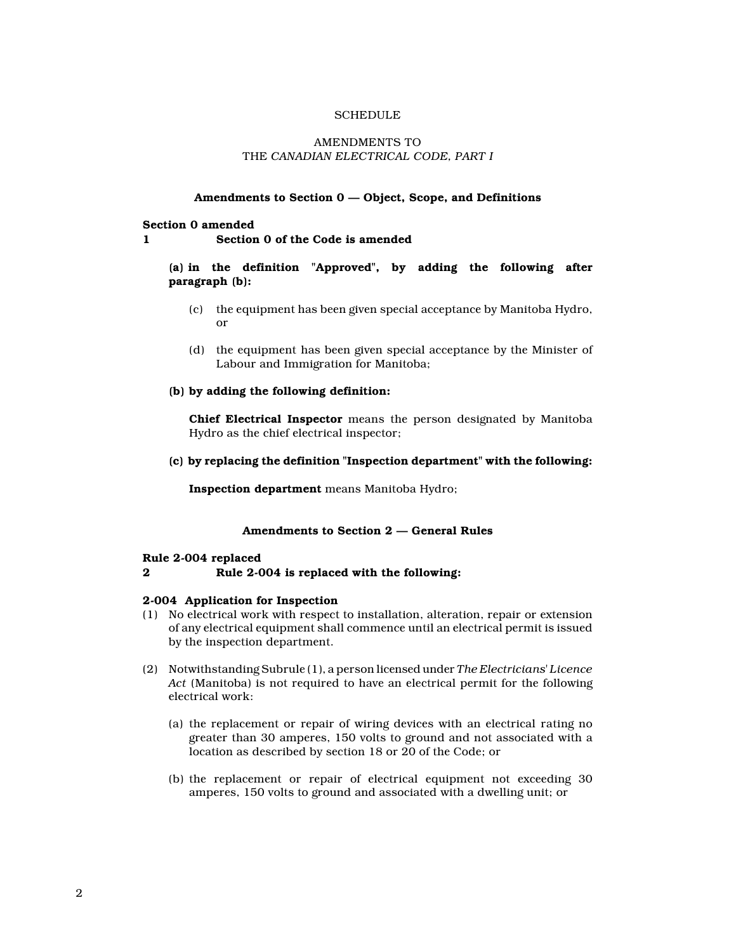## **SCHEDULE**

## AMENDMENTS TO THE CANADIAN ELECTRICAL CODE, PART I

## Amendments to Section 0 — Object, Scope, and Definitions

Section 0 amended

1 Section 0 of the Code is amended

(a) in the definition "Approved", by adding the following after paragraph (b):

- (c) the equipment has been given special acceptance by Manitoba Hydro, or
- (d) the equipment has been given special acceptance by the Minister of Labour and Immigration for Manitoba;

## (b) by adding the following definition:

Chief Electrical Inspector means the person designated by Manitoba Hydro as the chief electrical inspector;

(c) by replacing the definition "Inspection department" with the following:

Inspection department means Manitoba Hydro;

## Amendments to Section 2 — General Rules

#### Rule 2-004 replaced

2 Rule 2-004 is replaced with the following:

#### 2-004 Application for Inspection

- (1) No electrical work with respect to installation, alteration, repair or extension of any electrical equipment shall commence until an electrical permit is issued by the inspection department.
- (2) Notwithstanding Subrule (1), a person licensed under The Electricians' Licence Act (Manitoba) is not required to have an electrical permit for the following electrical work:
	- (a) the replacement or repair of wiring devices with an electrical rating no greater than 30 amperes, 150 volts to ground and not associated with a location as described by section 18 or 20 of the Code; or
	- (b) the replacement or repair of electrical equipment not exceeding 30 amperes, 150 volts to ground and associated with a dwelling unit; or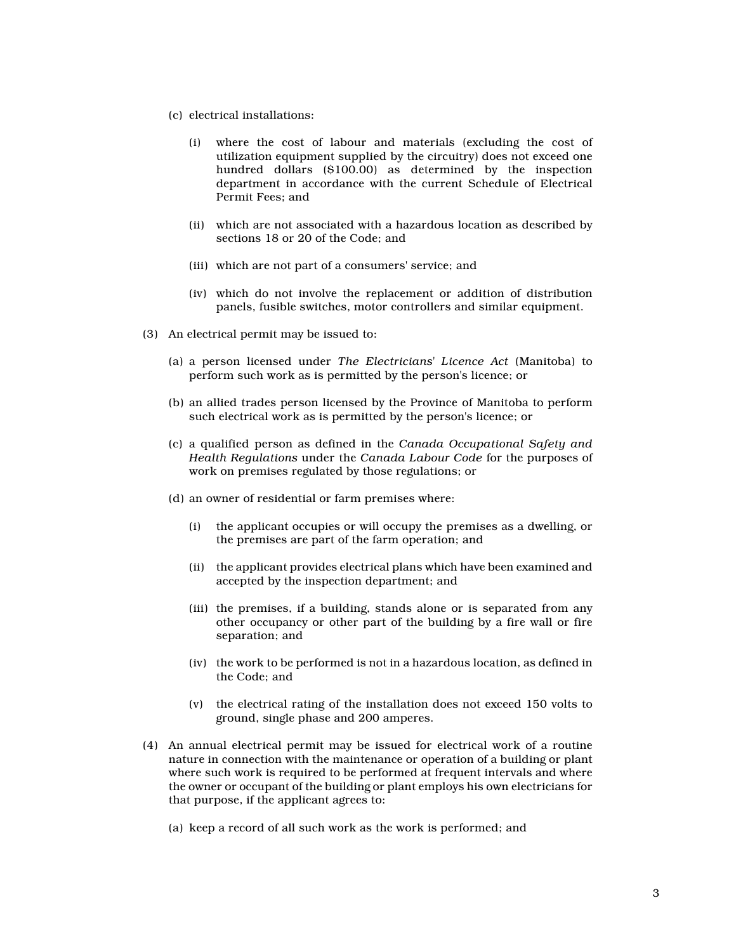- (c) electrical installations:
	- (i) where the cost of labour and materials (excluding the cost of utilization equipment supplied by the circuitry) does not exceed one hundred dollars (\$100.00) as determined by the inspection department in accordance with the current Schedule of Electrical Permit Fees; and
	- (ii) which are not associated with a hazardous location as described by sections 18 or 20 of the Code; and
	- (iii) which are not part of a consumers' service; and
	- (iv) which do not involve the replacement or addition of distribution panels, fusible switches, motor controllers and similar equipment.
- (3) An electrical permit may be issued to:
	- (a) a person licensed under The Electricians' Licence Act (Manitoba) to perform such work as is permitted by the person's licence; or
	- (b) an allied trades person licensed by the Province of Manitoba to perform such electrical work as is permitted by the person's licence; or
	- (c) a qualified person as defined in the Canada Occupational Safety and Health Regulations under the Canada Labour Code for the purposes of work on premises regulated by those regulations; or
	- (d) an owner of residential or farm premises where:
		- (i) the applicant occupies or will occupy the premises as a dwelling, or the premises are part of the farm operation; and
		- (ii) the applicant provides electrical plans which have been examined and accepted by the inspection department; and
		- (iii) the premises, if a building, stands alone or is separated from any other occupancy or other part of the building by a fire wall or fire separation; and
		- (iv) the work to be performed is not in a hazardous location, as defined in the Code; and
		- (v) the electrical rating of the installation does not exceed 150 volts to ground, single phase and 200 amperes.
- (4) An annual electrical permit may be issued for electrical work of a routine nature in connection with the maintenance or operation of a building or plant where such work is required to be performed at frequent intervals and where the owner or occupant of the building or plant employs his own electricians for that purpose, if the applicant agrees to:
	- (a) keep a record of all such work as the work is performed; and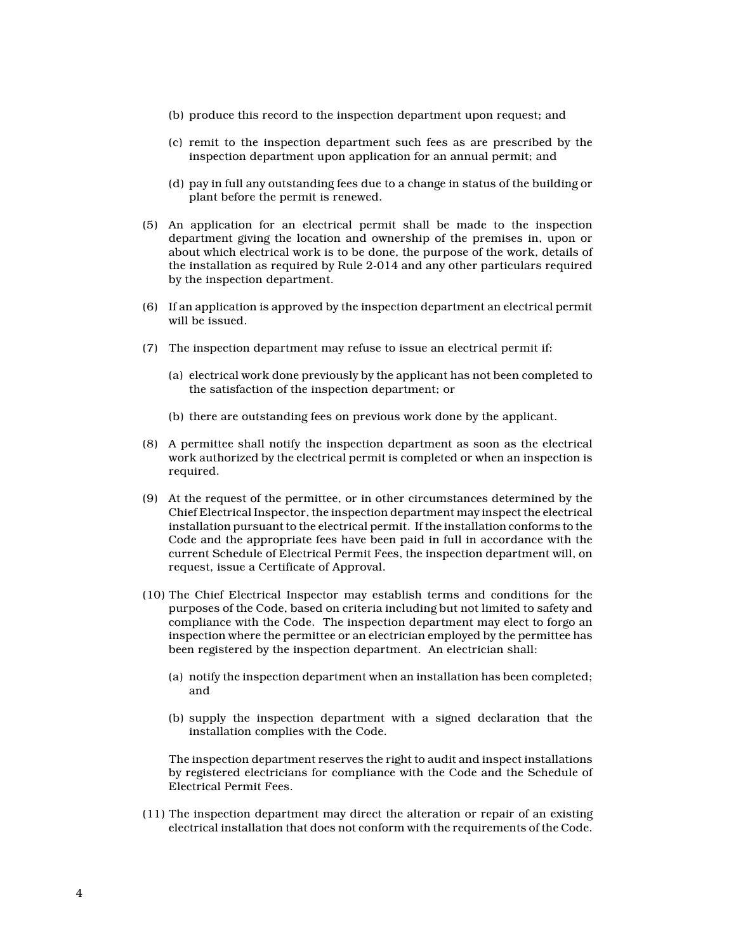- (b) produce this record to the inspection department upon request; and
- (c) remit to the inspection department such fees as are prescribed by the inspection department upon application for an annual permit; and
- (d) pay in full any outstanding fees due to a change in status of the building or plant before the permit is renewed.
- (5) An application for an electrical permit shall be made to the inspection department giving the location and ownership of the premises in, upon or about which electrical work is to be done, the purpose of the work, details of the installation as required by Rule 2-014 and any other particulars required by the inspection department.
- (6) If an application is approved by the inspection department an electrical permit will be issued.
- (7) The inspection department may refuse to issue an electrical permit if:
	- (a) electrical work done previously by the applicant has not been completed to the satisfaction of the inspection department; or
	- (b) there are outstanding fees on previous work done by the applicant.
- (8) A permittee shall notify the inspection department as soon as the electrical work authorized by the electrical permit is completed or when an inspection is required.
- (9) At the request of the permittee, or in other circumstances determined by the Chief Electrical Inspector, the inspection department may inspect the electrical installation pursuant to the electrical permit. If the installation conforms to the Code and the appropriate fees have been paid in full in accordance with the current Schedule of Electrical Permit Fees, the inspection department will, on request, issue a Certificate of Approval.
- (10) The Chief Electrical Inspector may establish terms and conditions for the purposes of the Code, based on criteria including but not limited to safety and compliance with the Code. The inspection department may elect to forgo an inspection where the permittee or an electrician employed by the permittee has been registered by the inspection department. An electrician shall:
	- (a) notify the inspection department when an installation has been completed; and
	- (b) supply the inspection department with a signed declaration that the installation complies with the Code.

The inspection department reserves the right to audit and inspect installations by registered electricians for compliance with the Code and the Schedule of Electrical Permit Fees.

(11) The inspection department may direct the alteration or repair of an existing electrical installation that does not conform with the requirements of the Code.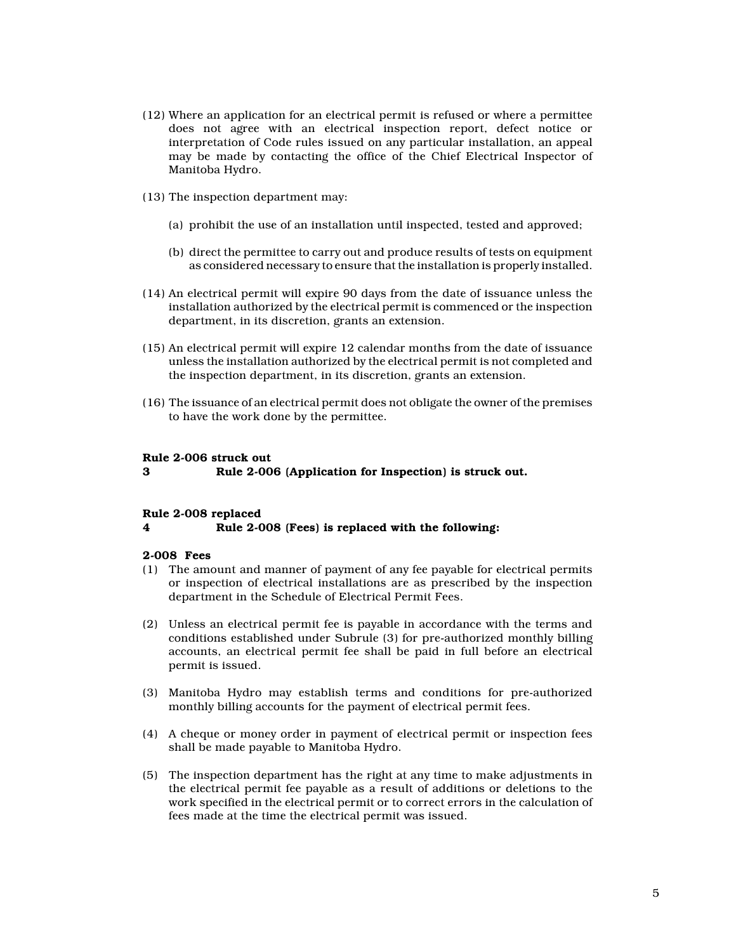- (12) Where an application for an electrical permit is refused or where a permittee does not agree with an electrical inspection report, defect notice or interpretation of Code rules issued on any particular installation, an appeal may be made by contacting the office of the Chief Electrical Inspector of Manitoba Hydro.
- (13) The inspection department may:
	- (a) prohibit the use of an installation until inspected, tested and approved;
	- (b) direct the permittee to carry out and produce results of tests on equipment as considered necessary to ensure that the installation is properly installed.
- (14) An electrical permit will expire 90 days from the date of issuance unless the installation authorized by the electrical permit is commenced or the inspection department, in its discretion, grants an extension.
- (15) An electrical permit will expire 12 calendar months from the date of issuance unless the installation authorized by the electrical permit is not completed and the inspection department, in its discretion, grants an extension.
- (16) The issuance of an electrical permit does not obligate the owner of the premises to have the work done by the permittee.

# Rule 2-006 struck out

### 3 Rule 2-006 (Application for Inspection) is struck out.

#### Rule 2-008 replaced

#### 4 Rule 2-008 (Fees) is replaced with the following:

### 2-008 Fees

- (1) The amount and manner of payment of any fee payable for electrical permits or inspection of electrical installations are as prescribed by the inspection department in the Schedule of Electrical Permit Fees.
- (2) Unless an electrical permit fee is payable in accordance with the terms and conditions established under Subrule (3) for pre-authorized monthly billing accounts, an electrical permit fee shall be paid in full before an electrical permit is issued.
- (3) Manitoba Hydro may establish terms and conditions for pre-authorized monthly billing accounts for the payment of electrical permit fees.
- (4) A cheque or money order in payment of electrical permit or inspection fees shall be made payable to Manitoba Hydro.
- (5) The inspection department has the right at any time to make adjustments in the electrical permit fee payable as a result of additions or deletions to the work specified in the electrical permit or to correct errors in the calculation of fees made at the time the electrical permit was issued.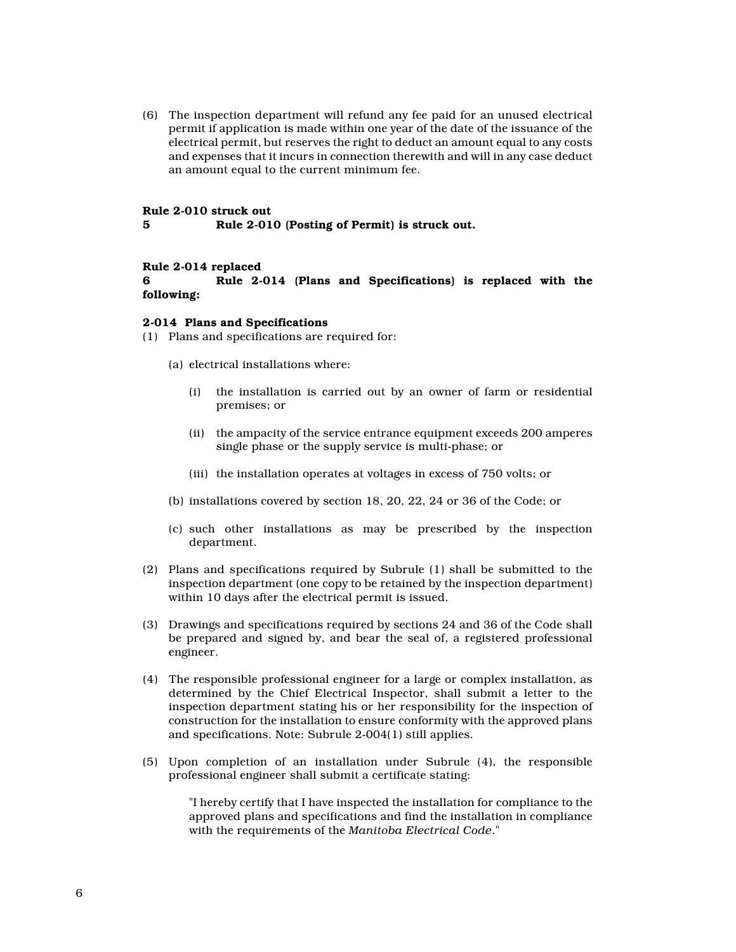(6) The inspection department will refund any fee paid for an unused electrical permit if application is made within one year of the date of the issuance of the electrical permit, but reserves the right to deduct an amount equal to any costs and expenses that it incurs in connection therewith and will in any case deduct an amount equal to the current minimum fee.

#### Rule 2-010 struck out

5 Rule 2-010 (Posting of Permit) is struck out.

### Rule 2-014 replaced

6 Rule 2-014 (Plans and Specifications) is replaced with the following:

#### 2-014 Plans and Specifications

- (1) Plans and specifications are required for:
	- (a) electrical installations where:
		- (i) the installation is carried out by an owner of farm or residential premises; or
		- (ii) the ampacity of the service entrance equipment exceeds 200 amperes single phase or the supply service is multi-phase; or
		- (iii) the installation operates at voltages in excess of 750 volts; or
	- (b) installations covered by section 18, 20, 22, 24 or 36 of the Code; or
	- (c) such other installations as may be prescribed by the inspection department.
- (2) Plans and specifications required by Subrule (1) shall be submitted to the inspection department (one copy to be retained by the inspection department) within 10 days after the electrical permit is issued.
- (3) Drawings and specifications required by sections 24 and 36 of the Code shall be prepared and signed by, and bear the seal of, a registered professional engineer.
- (4) The responsible professional engineer for a large or complex installation, as determined by the Chief Electrical Inspector, shall submit a letter to the inspection department stating his or her responsibility for the inspection of construction for the installation to ensure conformity with the approved plans and specifications. Note: Subrule 2-004(1) still applies.
- (5) Upon completion of an installation under Subrule (4), the responsible professional engineer shall submit a certificate stating:

"I hereby certify that I have inspected the installation for compliance to the approved plans and specifications and find the installation in compliance with the requirements of the Manitoba Electrical Code."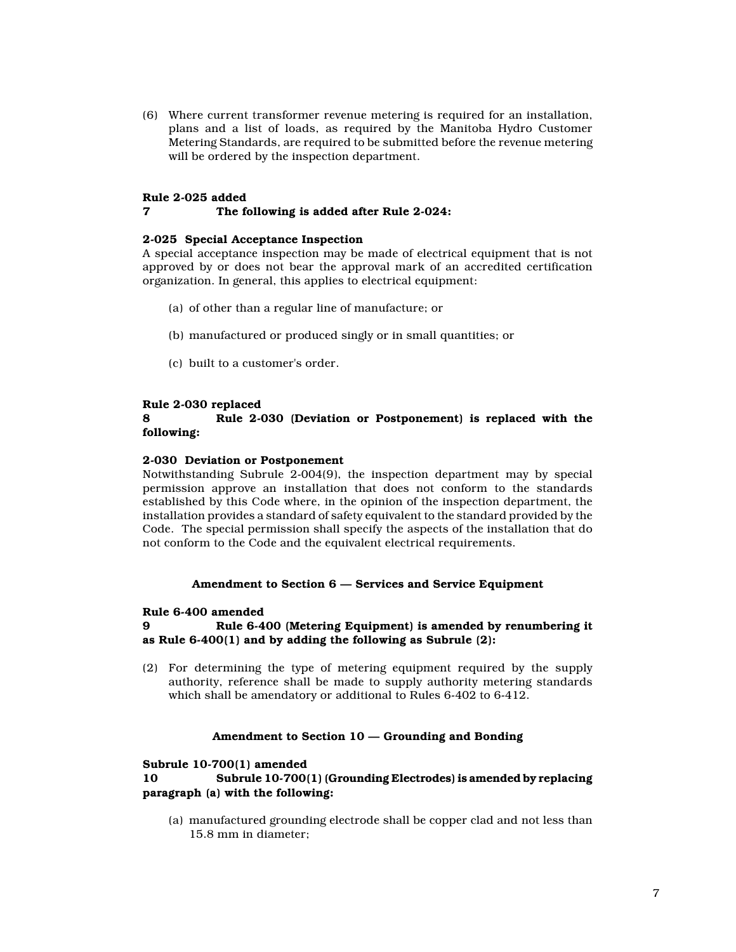(6) Where current transformer revenue metering is required for an installation, plans and a list of loads, as required by the Manitoba Hydro Customer Metering Standards, are required to be submitted before the revenue metering will be ordered by the inspection department.

## Rule 2-025 added

# 7 The following is added after Rule 2-024:

## 2-025 Special Acceptance Inspection

A special acceptance inspection may be made of electrical equipment that is not approved by or does not bear the approval mark of an accredited certification organization. In general, this applies to electrical equipment:

- (a) of other than a regular line of manufacture; or
- (b) manufactured or produced singly or in small quantities; or
- (c) built to a customer's order.

### Rule 2-030 replaced

# 8 Rule 2-030 (Deviation or Postponement) is replaced with the following:

### 2-030 Deviation or Postponement

Notwithstanding Subrule 2-004(9), the inspection department may by special permission approve an installation that does not conform to the standards established by this Code where, in the opinion of the inspection department, the installation provides a standard of safety equivalent to the standard provided by the Code. The special permission shall specify the aspects of the installation that do not conform to the Code and the equivalent electrical requirements.

#### Amendment to Section 6 — Services and Service Equipment

#### Rule 6-400 amended

9 Rule 6-400 (Metering Equipment) is amended by renumbering it as Rule 6-400(1) and by adding the following as Subrule (2):

(2) For determining the type of metering equipment required by the supply authority, reference shall be made to supply authority metering standards which shall be amendatory or additional to Rules 6-402 to 6-412.

## Amendment to Section 10 — Grounding and Bonding

## Subrule 10-700(1) amended

10 Subrule 10-700(1) (Grounding Electrodes) is amended by replacing paragraph (a) with the following:

(a) manufactured grounding electrode shall be copper clad and not less than 15.8 mm in diameter;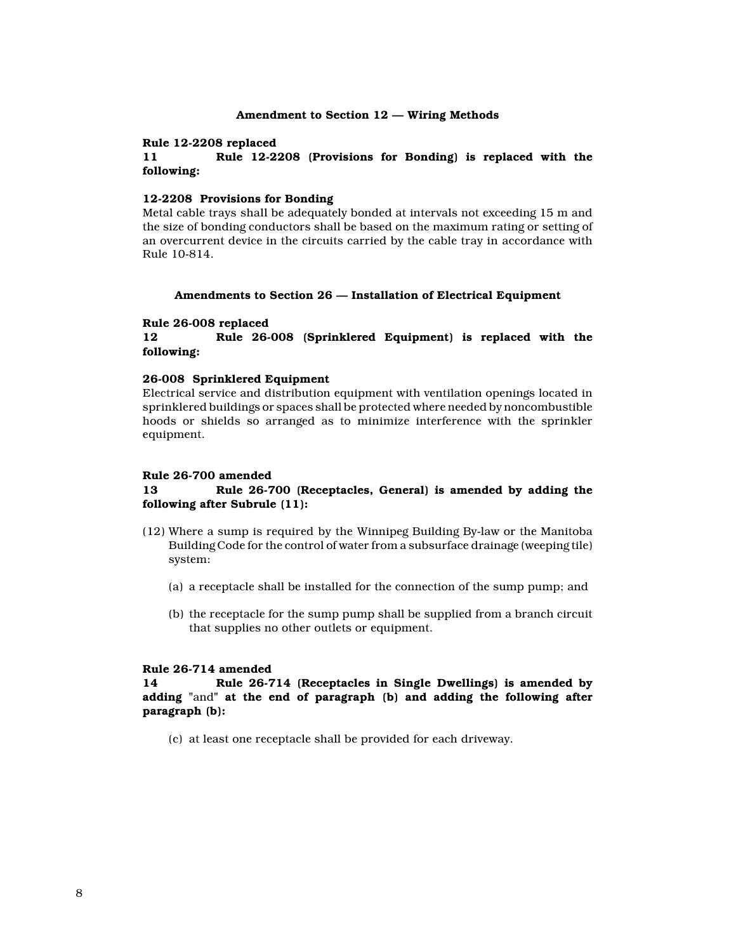### Amendment to Section 12 — Wiring Methods

#### Rule 12-2208 replaced

# 11 Rule 12-2208 (Provisions for Bonding) is replaced with the following:

## 12-2208 Provisions for Bonding

Metal cable trays shall be adequately bonded at intervals not exceeding 15 m and the size of bonding conductors shall be based on the maximum rating or setting of an overcurrent device in the circuits carried by the cable tray in accordance with Rule 10-814.

### Amendments to Section 26 — Installation of Electrical Equipment

## Rule 26-008 replaced

12 Rule 26-008 (Sprinklered Equipment) is replaced with the following:

## 26-008 Sprinklered Equipment

Electrical service and distribution equipment with ventilation openings located in sprinklered buildings or spaces shall be protected where needed by noncombustible hoods or shields so arranged as to minimize interference with the sprinkler equipment.

# Rule 26-700 amended

# 13 Rule 26-700 (Receptacles, General) is amended by adding the following after Subrule (11):

- (12) Where a sump is required by the Winnipeg Building By-law or the Manitoba Building Code for the control of water from a subsurface drainage (weeping tile) system:
	- (a) a receptacle shall be installed for the connection of the sump pump; and
	- (b) the receptacle for the sump pump shall be supplied from a branch circuit that supplies no other outlets or equipment.

# Rule 26-714 amended

14 Rule 26-714 (Receptacles in Single Dwellings) is amended by adding "and" at the end of paragraph (b) and adding the following after paragraph (b):

(c) at least one receptacle shall be provided for each driveway.